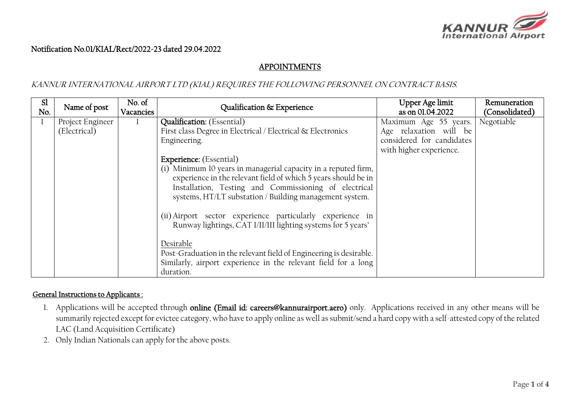

## Notification No.01/KIAL/Rect/2022-23 dated 29.04.2022

# APPOINTMENTS

### KANNUR INTERNATIONAL AIRPORT LTD (KIAL) REQUIRES THE FOLLOWING PERSONNEL ON CONTRACT BASIS.

| <sub>S1</sub><br>No. | Name of post     | No. of<br>Vacancies | Qualification & Experience                                         | Upper Age limit<br>as on 01.04.2022 | Remuneration<br>(Consolidated) |
|----------------------|------------------|---------------------|--------------------------------------------------------------------|-------------------------------------|--------------------------------|
|                      | Project Engineer | -1                  | <b>Qualification:</b> (Essential)                                  | Maximum Age 55 years.               | Negotiable                     |
|                      | (Electrical)     |                     | First class Degree in Electrical / Electrical & Electronics        | Age relaxation will be              |                                |
|                      |                  |                     | Engineering.                                                       | considered for candidates           |                                |
|                      |                  |                     |                                                                    | with higher experience.             |                                |
|                      |                  |                     | <b>Experience:</b> (Essential)                                     |                                     |                                |
|                      |                  |                     | (i) Minimum 10 years in managerial capacity in a reputed firm,     |                                     |                                |
|                      |                  |                     | experience in the relevant field of which 5 years should be in     |                                     |                                |
|                      |                  |                     | Installation, Testing and Commissioning of electrical              |                                     |                                |
|                      |                  |                     | systems, HT/LT substation / Building management system.            |                                     |                                |
|                      |                  |                     |                                                                    |                                     |                                |
|                      |                  |                     | (ii) Airport sector experience particularly experience in          |                                     |                                |
|                      |                  |                     | Runway lightings, CAT I/II/III lighting systems for 5 years'       |                                     |                                |
|                      |                  |                     |                                                                    |                                     |                                |
|                      |                  |                     | Desirable                                                          |                                     |                                |
|                      |                  |                     | Post-Graduation in the relevant field of Engineering is desirable. |                                     |                                |
|                      |                  |                     | Similarly, airport experience in the relevant field for a long     |                                     |                                |
|                      |                  |                     | duration.                                                          |                                     |                                |

#### General Instructions to Applicants :

- 1. Applications will be accepted through online (Email id: careers@kannurairport.aero) only. Applications received in any other means will be summarily rejected except for evictee category, who have to apply online as well as submit/send a hard copy with a self-attested copy of the related LAC (Land Acquisition Certificate)
- 2. Only Indian Nationals can apply for the above posts.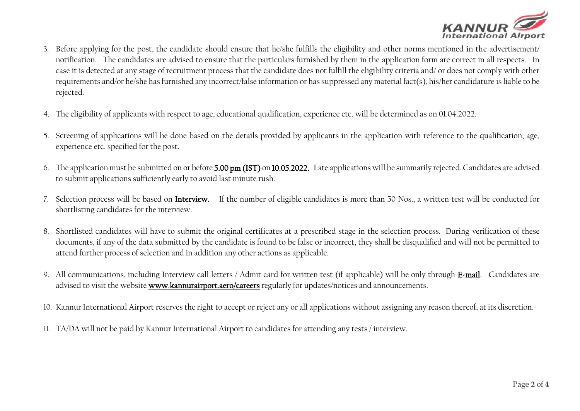

- 3. Before applying for the post, the candidate should ensure that he/she fulfills the eligibility and other norms mentioned in the advertisement/ notification. The candidates are advised to ensure that the particulars furnished by them in the application form are correct in all respects. In case it is detected at any stage of recruitment process that the candidate does not fulfill the eligibility criteria and/ or does not comply with other requirements and/or he/she has furnished any incorrect/false information or has suppressed any material fact(s), his/her candidature is liable to be rejected.
- 4. The eligibility of applicants with respect to age, educational qualification, experience etc. will be determined as on 01.04.2022.
- 5. Screening of applications will be done based on the details provided by applicants in the application with reference to the qualification, age, experience etc. specified for the post.
- 6. The application must be submitted on or before 5.00 pm (IST) on 10.05.2022. Late applications will be summarily rejected. Candidates are advised to submit applications sufficiently early to avoid last minute rush.
- 7. Selection process will be based on Interview. If the number of eligible candidates is more than 50 Nos., a written test will be conducted for shortlisting candidates for the interview.
- 8. Shortlisted candidates will have to submit the original certificates at a prescribed stage in the selection process. During verification of these documents, if any of the data submitted by the candidate is found to be false or incorrect, they shall be disqualified and will not be permitted to attend further process of selection and in addition any other actions as applicable.
- 9. All communications, including Interview call letters / Admit card for written test (if applicable) will be only through E-mail. Candidates are advised to visit the websit[e www.kannurairport.aero/](http://www.kannurairport.aero/)careers regularly for updates/notices and announcements.
- 10. Kannur International Airport reserves the right to accept or reject any or all applications without assigning any reason thereof, at its discretion.
- 11. TA/DA will not be paid by Kannur International Airport to candidates for attending any tests / interview.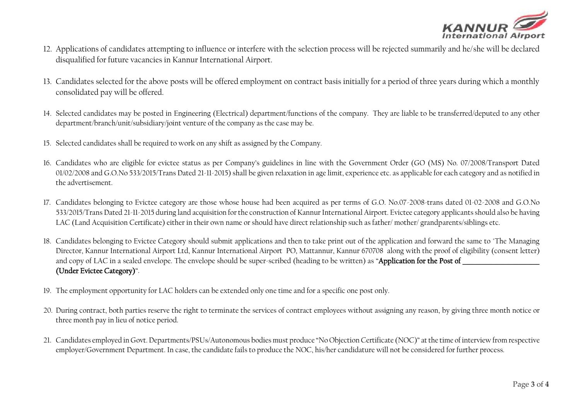

- 12. Applications of candidates attempting to influence or interfere with the selection process will be rejected summarily and he/she will be declared disqualified for future vacancies in Kannur International Airport.
- 13. Candidates selected for the above posts will be offered employment on contract basis initially for a period of three years during which a monthly consolidated pay will be offered.
- 14. Selected candidates may be posted in Engineering (Electrical) department/functions of the company. They are liable to be transferred/deputed to any other department/branch/unit/subsidiary/joint venture of the company as the case may be.
- 15. Selected candidates shall be required to work on any shift as assigned by the Company.
- 16. Candidates who are eligible for evictee status as per Company's guidelines in line with the Government Order (GO (MS) No. 07/2008/Transport Dated 01/02/2008 and G.O.No 533/2015/Trans Dated 21-11-2015) shall be given relaxation in age limit, experience etc. as applicable for each category and as notified in the advertisement.
- 17. Candidates belonging to Evictee category are those whose house had been acquired as per terms of G.O. No.07-2008-trans dated 01-02-2008 and G.O.No 533/2015/Trans Dated 21-11-2015 during land acquisition for the construction of Kannur International Airport. Evictee category applicants should also be having LAC (Land Acquisition Certificate) either in their own name or should have direct relationship such as father/ mother/ grandparents/siblings etc.
- 18. Candidates belonging to Evictee Category should submit applications and then to take print out of the application and forward the same to "The Managing Director, Kannur International Airport Ltd, Kannur International Airport PO, Mattannur, Kannur 670708 along with the proof of eligibility (consent letter) and copy of LAC in a sealed envelope. The envelope should be super-scribed (heading to be written) as "Application for the Post of (Under Evictee Category)".
- 19. The employment opportunity for LAC holders can be extended only one time and for a specific one post only.
- 20. During contract, both parties reserve the right to terminate the services of contract employees without assigning any reason, by giving three month notice or three month pay in lieu of notice period.
- 21. Candidates employed in Govt. Departments/PSUs/Autonomous bodies must produce "No Objection Certificate (NOC)" at the time of interview from respective employer/Government Department. In case, the candidate fails to produce the NOC, his/her candidature will not be considered for further process.